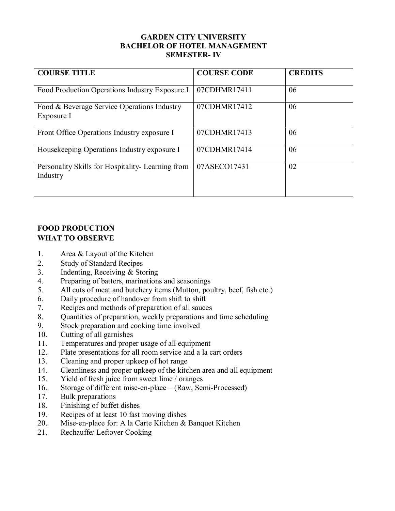## **GARDEN CITY UNIVERSITY BACHELOR OF HOTEL MANAGEMENT SEMESTER- IV**

| <b>COURSE TITLE</b>                                           | <b>COURSE CODE</b> | <b>CREDITS</b> |
|---------------------------------------------------------------|--------------------|----------------|
| Food Production Operations Industry Exposure I                | 07CDHMR17411       | 06             |
| Food & Beverage Service Operations Industry<br>Exposure I     | 07CDHMR17412       | 06             |
| Front Office Operations Industry exposure I                   | 07CDHMR17413       | 06             |
| Housekeeping Operations Industry exposure I                   | 07CDHMR17414       | 06             |
| Personality Skills for Hospitality- Learning from<br>Industry | 07ASECO17431       | 02             |

# **FOOD PRODUCTION WHAT TO OBSERVE**

- 1. Area & Layout of the Kitchen
- 2. Study of Standard Recipes
- 3. Indenting, Receiving & Storing
- 4. Preparing of batters, marinations and seasonings<br>5. All cuts of meat and butchery items (Mutton, pour
- All cuts of meat and butchery items (Mutton, poultry, beef, fish etc.)
- 6. Daily procedure of handover from shift to shift
- 7. Recipes and methods of preparation of all sauces<br>8. Ouantities of preparation, weekly preparations and
- 8. Quantities of preparation, weekly preparations and time scheduling
- 9. Stock preparation and cooking time involved
- 10. Cutting of all garnishes
- 11. Temperatures and proper usage of all equipment
- 12. Plate presentations for all room service and a la cart orders
- 13. Cleaning and proper upkeep of hot range
- 14. Cleanliness and proper upkeep of the kitchen area and all equipment
- 15. Yield of fresh juice from sweet lime / oranges
- 16. Storage of different mise-en-place (Raw, Semi-Processed)<br>17. Bulk preparations
- Bulk preparations
- 18. Finishing of buffet dishes
- 19. Recipes of at least 10 fast moving dishes
- 20. Mise-en-place for: A la Carte Kitchen & Banquet Kitchen
- 21. Rechauffe/ Leftover Cooking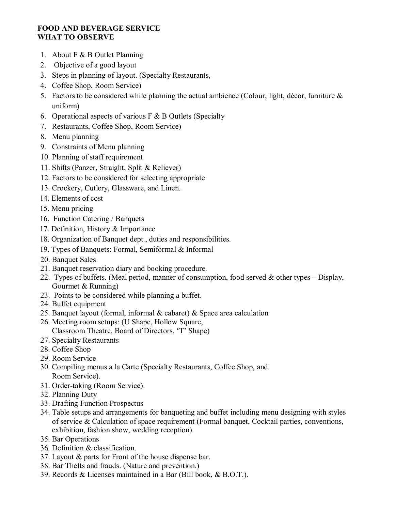## **FOOD AND BEVERAGE SERVICE WHAT TO OBSERVE**

- 1. About F & B Outlet Planning
- 2. Objective of a good layout
- 3. Steps in planning of layout. (Specialty Restaurants,
- 4. Coffee Shop, Room Service)
- 5. Factors to be considered while planning the actual ambience (Colour, light, décor, furniture  $\&$ uniform)
- 6. Operational aspects of various  $F \& B$  Outlets (Specialty
- 7. Restaurants, Coffee Shop, Room Service)
- 8. Menu planning
- 9. Constraints of Menu planning
- 10. Planning of staff requirement
- 11. Shifts (Panzer, Straight, Split & Reliever)
- 12. Factors to be considered for selecting appropriate
- 13. Crockery, Cutlery, Glassware, and Linen.
- 14. Elements of cost
- 15. Menu pricing
- 16. Function Catering / Banquets
- 17. Definition, History & Importance
- 18. Organization of Banquet dept., duties and responsibilities.
- 19. Types of Banquets: Formal, Semiformal & Informal
- 20. Banquet Sales
- 21. Banquet reservation diary and booking procedure.
- 22. Types of buffets. (Meal period, manner of consumption, food served & other types Display, Gourmet & Running)
- 23. Points to be considered while planning a buffet.
- 24. Buffet equipment
- 25. Banquet layout (formal, informal  $\&$  cabaret)  $\&$  Space area calculation
- 26. Meeting room setups: (U Shape, Hollow Square, Classroom Theatre, Board of Directors, 'T' Shape)
- 27. Specialty Restaurants
- 28. Coffee Shop
- 29. Room Service
- 30. Compiling menus a la Carte (Specialty Restaurants, Coffee Shop, and Room Service).
- 31. Order-taking (Room Service).
- 32. Planning Duty
- 33. Drafting Function Prospectus
- 34. Table setups and arrangements for banqueting and buffet including menu designing with styles of service & Calculation of space requirement (Formal banquet, Cocktail parties, conventions, exhibition, fashion show, wedding reception).
- 35. Bar Operations
- 36. Definition & classification.
- 37. Layout & parts for Front of the house dispense bar.
- 38. Bar Thefts and frauds. (Nature and prevention.)
- 39. Records & Licenses maintained in a Bar (Bill book, & B.O.T.).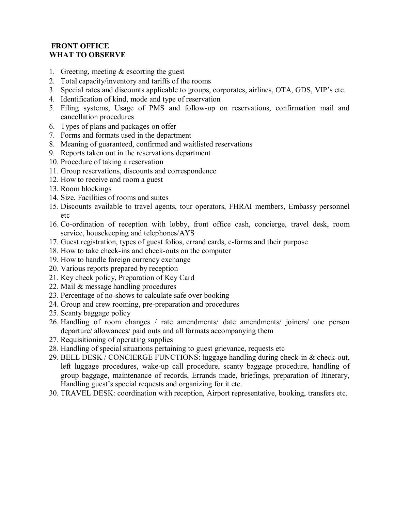## **FRONT OFFICE WHAT TO OBSERVE**

- 1. Greeting, meeting & escorting the guest
- 2. Total capacity/inventory and tariffs of the rooms
- 3. Special rates and discounts applicable to groups, corporates, airlines, OTA, GDS, VIP's etc.
- 4. Identification of kind, mode and type of reservation
- 5. Filing systems, Usage of PMS and follow-up on reservations, confirmation mail and cancellation procedures
- 6. Types of plans and packages on offer
- 7. Forms and formats used in the department
- 8. Meaning of guaranteed, confirmed and waitlisted reservations
- 9. Reports taken out in the reservations department
- 10. Procedure of taking a reservation
- 11. Group reservations, discounts and correspondence
- 12. How to receive and room a guest
- 13. Room blockings
- 14. Size, Facilities of rooms and suites
- 15. Discounts available to travel agents, tour operators, FHRAI members, Embassy personnel etc
- 16. Co-ordination of reception with lobby, front office cash, concierge, travel desk, room service, housekeeping and telephones/AYS
- 17. Guest registration, types of guest folios, errand cards, c-forms and their purpose
- 18. How to take check-ins and check-outs on the computer
- 19. How to handle foreign currency exchange
- 20. Various reports prepared by reception
- 21. Key check policy, Preparation of Key Card
- 22. Mail & message handling procedures
- 23. Percentage of no-shows to calculate safe over booking
- 24. Group and crew rooming, pre-preparation and procedures
- 25. Scanty baggage policy
- 26. Handling of room changes / rate amendments/ date amendments/ joiners/ one person departure/ allowances/ paid outs and all formats accompanying them
- 27. Requisitioning of operating supplies
- 28. Handling of special situations pertaining to guest grievance, requests etc
- 29. BELL DESK / CONCIERGE FUNCTIONS: luggage handling during check-in & check-out, left luggage procedures, wake-up call procedure, scanty baggage procedure, handling of group baggage, maintenance of records, Errands made, briefings, preparation of Itinerary, Handling guest's special requests and organizing for it etc.
- 30. TRAVEL DESK: coordination with reception, Airport representative, booking, transfers etc.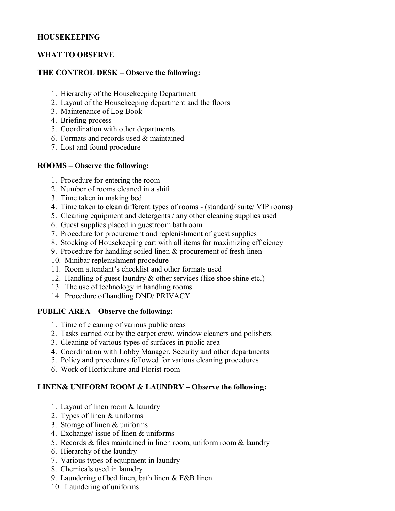## **HOUSEKEEPING**

## **WHAT TO OBSERVE**

## **THE CONTROL DESK – Observe the following:**

- 1. Hierarchy of the Housekeeping Department
- 2. Layout of the Housekeeping department and the floors
- 3. Maintenance of Log Book
- 4. Briefing process
- 5. Coordination with other departments
- 6. Formats and records used & maintained
- 7. Lost and found procedure

### **ROOMS – Observe the following:**

- 1. Procedure for entering the room
- 2. Number of rooms cleaned in a shift
- 3. Time taken in making bed
- 4. Time taken to clean different types of rooms (standard/ suite/ VIP rooms)
- 5. Cleaning equipment and detergents / any other cleaning supplies used
- 6. Guest supplies placed in guestroom bathroom
- 7. Procedure for procurement and replenishment of guest supplies
- 8. Stocking of Housekeeping cart with all items for maximizing efficiency
- 9. Procedure for handling soiled linen & procurement of fresh linen
- 10. Minibar replenishment procedure
- 11. Room attendant's checklist and other formats used
- 12. Handling of guest laundry & other services (like shoe shine etc.)
- 13. The use of technology in handling rooms
- 14. Procedure of handling DND/ PRIVACY

### **PUBLIC AREA – Observe the following:**

- 1. Time of cleaning of various public areas
- 2. Tasks carried out by the carpet crew, window cleaners and polishers
- 3. Cleaning of various types of surfaces in public area
- 4. Coordination with Lobby Manager, Security and other departments
- 5. Policy and procedures followed for various cleaning procedures
- 6. Work of Horticulture and Florist room

## **LINEN& UNIFORM ROOM & LAUNDRY – Observe the following:**

- 1. Layout of linen room & laundry
- 2. Types of linen & uniforms
- 3. Storage of linen & uniforms
- 4. Exchange/ issue of linen & uniforms
- 5. Records & files maintained in linen room, uniform room & laundry
- 6. Hierarchy of the laundry
- 7. Various types of equipment in laundry
- 8. Chemicals used in laundry
- 9. Laundering of bed linen, bath linen & F&B linen
- 10. Laundering of uniforms